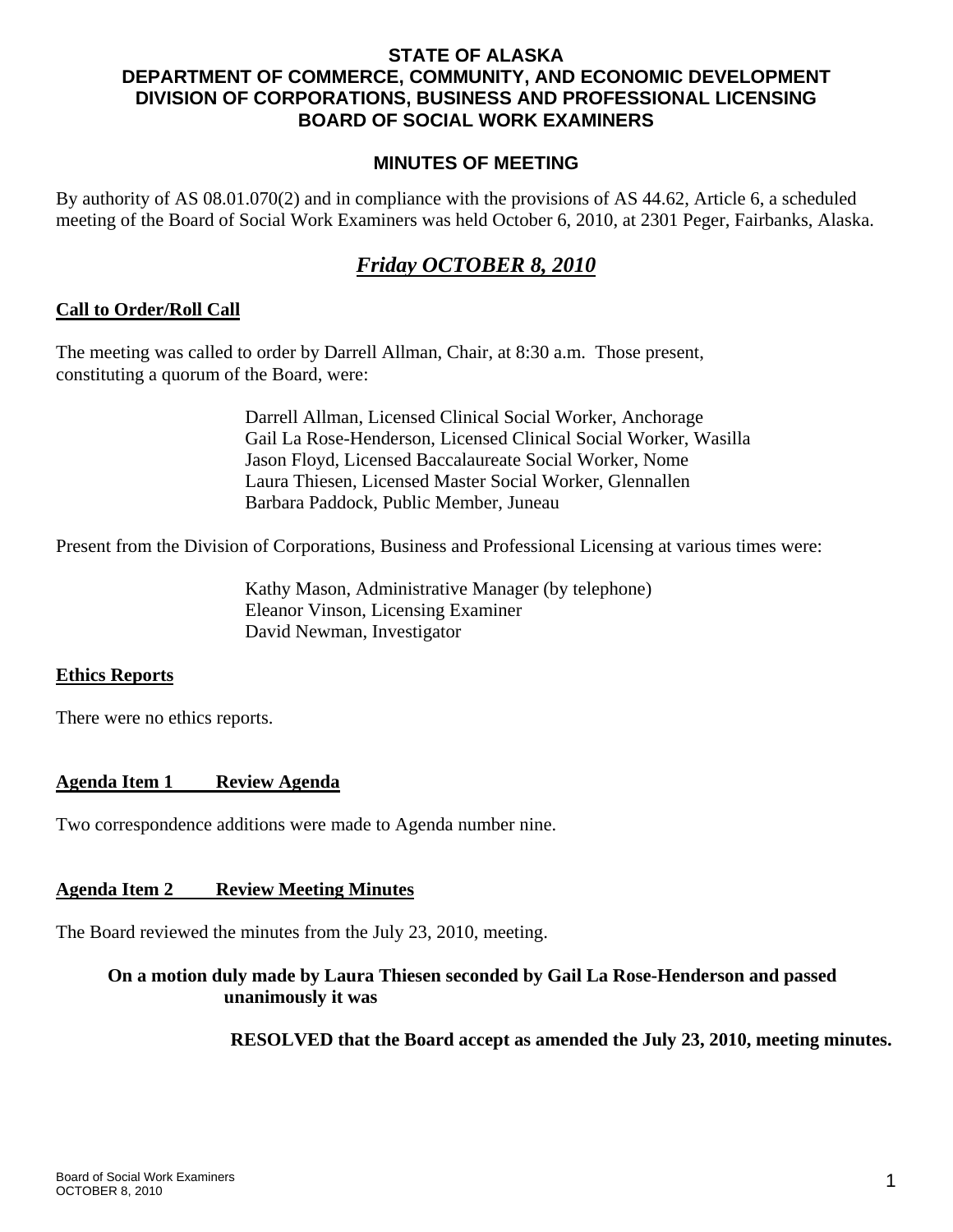## **STATE OF ALASKA DEPARTMENT OF COMMERCE, COMMUNITY, AND ECONOMIC DEVELOPMENT DIVISION OF CORPORATIONS, BUSINESS AND PROFESSIONAL LICENSING BOARD OF SOCIAL WORK EXAMINERS**

#### **MINUTES OF MEETING**

By authority of AS 08.01.070(2) and in compliance with the provisions of AS 44.62, Article 6, a scheduled meeting of the Board of Social Work Examiners was held October 6, 2010, at 2301 Peger, Fairbanks, Alaska.

# *Friday OCTOBER 8, 2010*

#### **Call to Order/Roll Call**

The meeting was called to order by Darrell Allman, Chair, at 8:30 a.m. Those present, constituting a quorum of the Board, were:

> Darrell Allman, Licensed Clinical Social Worker, Anchorage Gail La Rose-Henderson, Licensed Clinical Social Worker, Wasilla Jason Floyd, Licensed Baccalaureate Social Worker, Nome Laura Thiesen, Licensed Master Social Worker, Glennallen Barbara Paddock, Public Member, Juneau

Present from the Division of Corporations, Business and Professional Licensing at various times were:

 Kathy Mason, Administrative Manager (by telephone) Eleanor Vinson, Licensing Examiner David Newman, Investigator

#### **Ethics Reports**

There were no ethics reports.

## **Agenda Item 1 Review Agenda**

Two correspondence additions were made to Agenda number nine.

#### **Agenda Item 2 Review Meeting Minutes**

The Board reviewed the minutes from the July 23, 2010, meeting.

# **On a motion duly made by Laura Thiesen seconded by Gail La Rose-Henderson and passed unanimously it was**

 **RESOLVED that the Board accept as amended the July 23, 2010, meeting minutes.**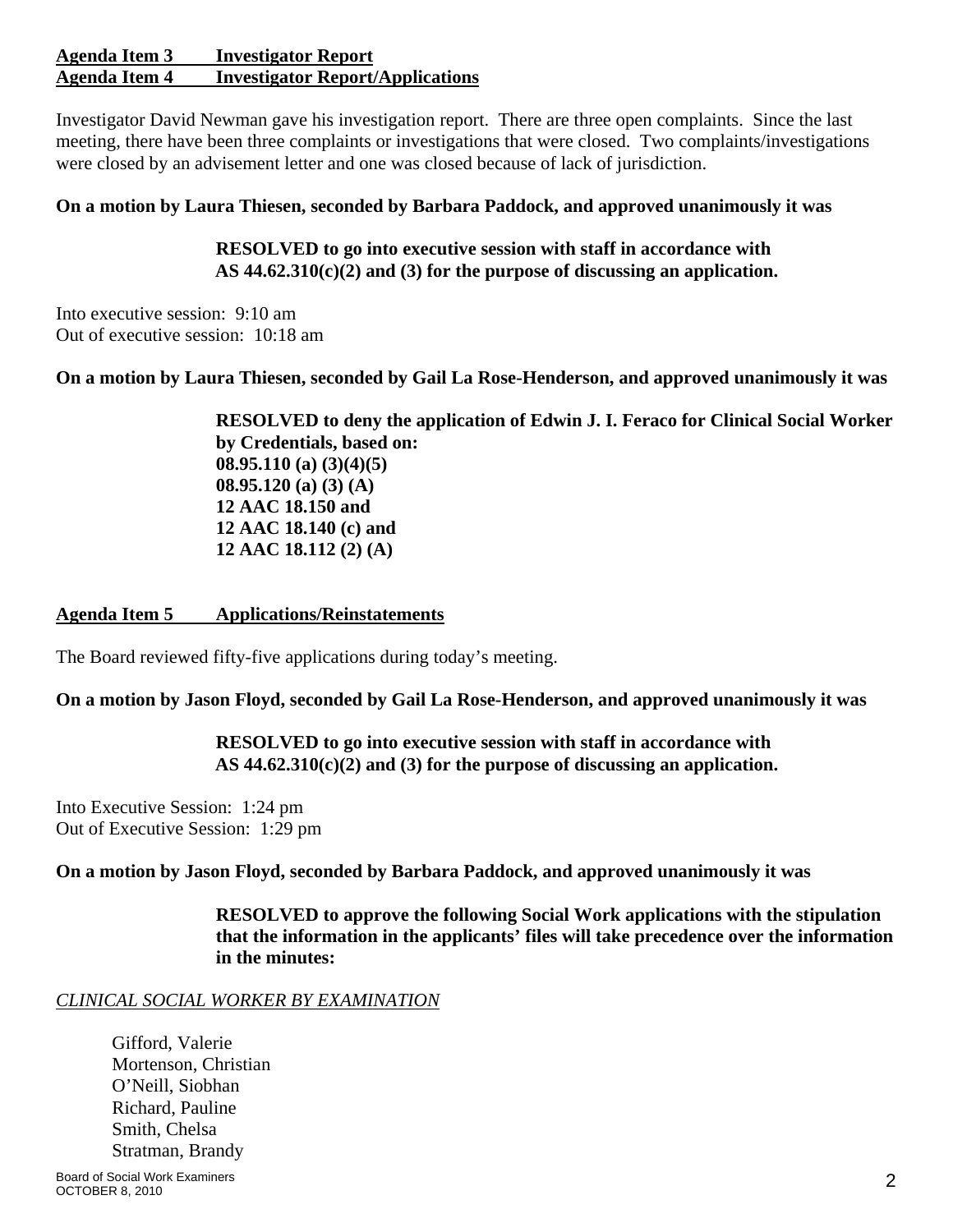#### **Agenda Item 3 Investigator Report Agenda Item 4 Investigator Report/Applications**

Investigator David Newman gave his investigation report. There are three open complaints. Since the last meeting, there have been three complaints or investigations that were closed. Two complaints/investigations were closed by an advisement letter and one was closed because of lack of jurisdiction.

## **On a motion by Laura Thiesen, seconded by Barbara Paddock, and approved unanimously it was**

 **RESOLVED to go into executive session with staff in accordance with AS 44.62.310(c)(2) and (3) for the purpose of discussing an application.** 

Into executive session: 9:10 am Out of executive session: 10:18 am

**On a motion by Laura Thiesen, seconded by Gail La Rose-Henderson, and approved unanimously it was** 

 **RESOLVED to deny the application of Edwin J. I. Feraco for Clinical Social Worker by Credentials, based on: 08.95.110 (a) (3)(4)(5) 08.95.120 (a) (3) (A) 12 AAC 18.150 and 12 AAC 18.140 (c) and 12 AAC 18.112 (2) (A)** 

## **Agenda Item 5 Applications/Reinstatements**

The Board reviewed fifty-five applications during today's meeting.

## **On a motion by Jason Floyd, seconded by Gail La Rose-Henderson, and approved unanimously it was**

 **RESOLVED to go into executive session with staff in accordance with AS 44.62.310(c)(2) and (3) for the purpose of discussing an application.** 

Into Executive Session: 1:24 pm Out of Executive Session: 1:29 pm

**On a motion by Jason Floyd, seconded by Barbara Paddock, and approved unanimously it was** 

 **RESOLVED to approve the following Social Work applications with the stipulation that the information in the applicants' files will take precedence over the information in the minutes:** 

## *CLINICAL SOCIAL WORKER BY EXAMINATION*

 Gifford, Valerie Mortenson, Christian O'Neill, Siobhan Richard, Pauline Smith, Chelsa Stratman, Brandy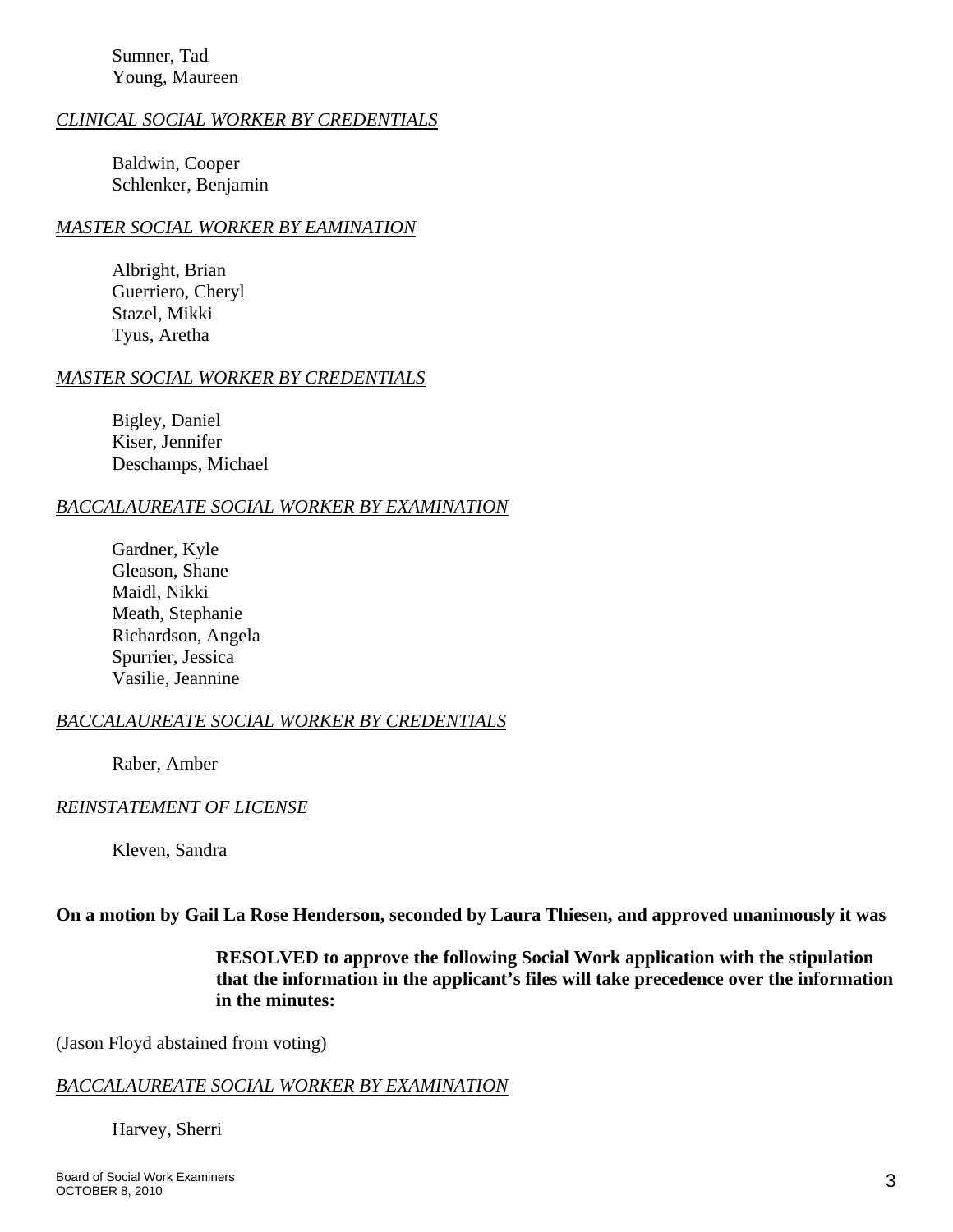Sumner, Tad Young, Maureen

#### *CLINICAL SOCIAL WORKER BY CREDENTIALS*

 Baldwin, Cooper Schlenker, Benjamin

#### *MASTER SOCIAL WORKER BY EAMINATION*

Albright, Brian Guerriero, Cheryl Stazel, Mikki Tyus, Aretha

#### *MASTER SOCIAL WORKER BY CREDENTIALS*

 Bigley, Daniel Kiser, Jennifer Deschamps, Michael

#### *BACCALAUREATE SOCIAL WORKER BY EXAMINATION*

 Gardner, Kyle Gleason, Shane Maidl, Nikki Meath, Stephanie Richardson, Angela Spurrier, Jessica Vasilie, Jeannine

#### *BACCALAUREATE SOCIAL WORKER BY CREDENTIALS*

Raber, Amber

#### *REINSTATEMENT OF LICENSE*

Kleven, Sandra

#### **On a motion by Gail La Rose Henderson, seconded by Laura Thiesen, and approved unanimously it was**

 **RESOLVED to approve the following Social Work application with the stipulation that the information in the applicant's files will take precedence over the information in the minutes:** 

(Jason Floyd abstained from voting)

#### *BACCALAUREATE SOCIAL WORKER BY EXAMINATION*

Harvey, Sherri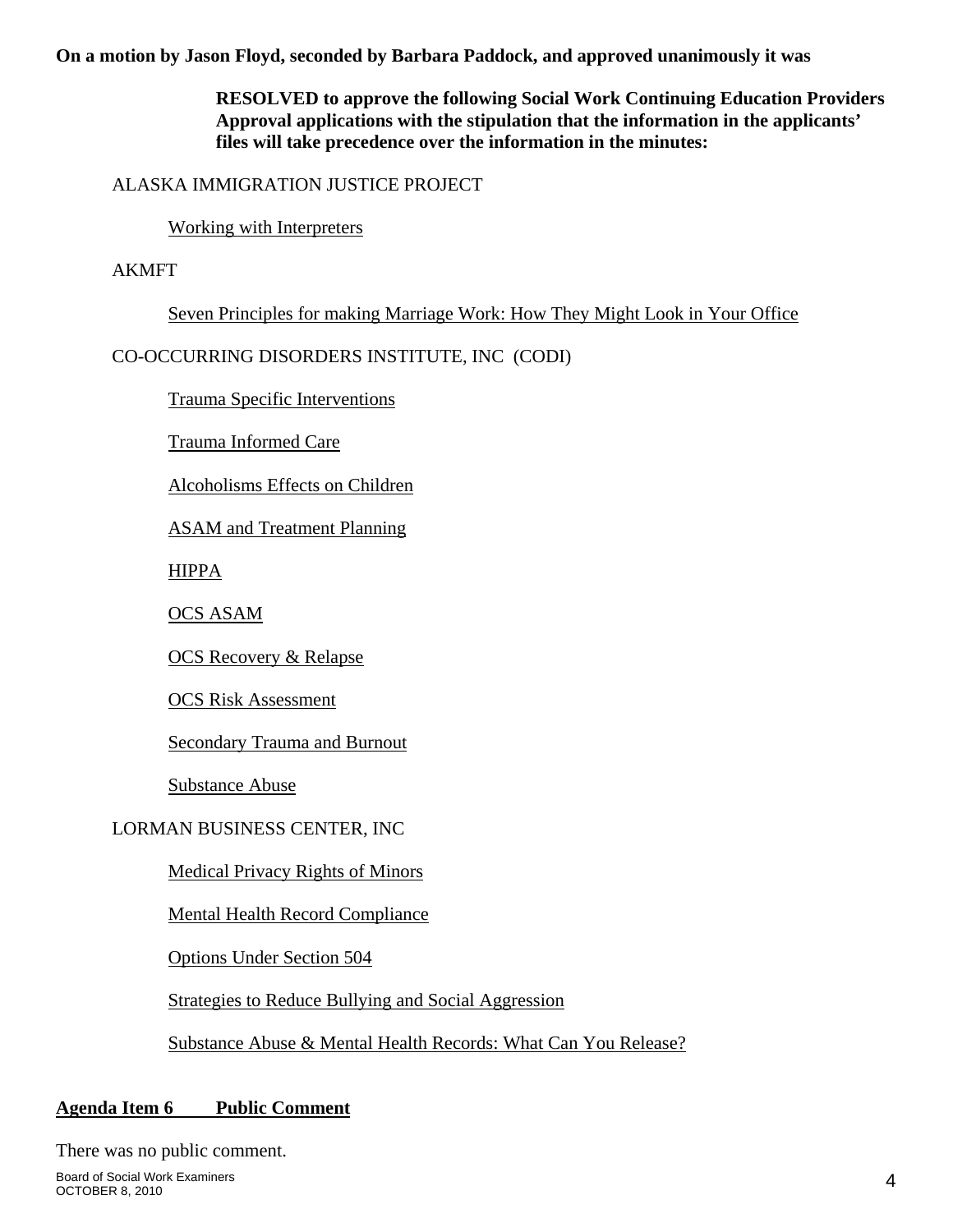**On a motion by Jason Floyd, seconded by Barbara Paddock, and approved unanimously it was** 

 **RESOLVED to approve the following Social Work Continuing Education Providers Approval applications with the stipulation that the information in the applicants' files will take precedence over the information in the minutes:**

## ALASKA IMMIGRATION JUSTICE PROJECT

Working with Interpreters

AKMFT

Seven Principles for making Marriage Work: How They Might Look in Your Office

CO-OCCURRING DISORDERS INSTITUTE, INC (CODI)

Trauma Specific Interventions

Trauma Informed Care

Alcoholisms Effects on Children

ASAM and Treatment Planning

HIPPA

OCS ASAM

OCS Recovery & Relapse

OCS Risk Assessment

Secondary Trauma and Burnout

Substance Abuse

# LORMAN BUSINESS CENTER, INC

Medical Privacy Rights of Minors

Mental Health Record Compliance

Options Under Section 504

Strategies to Reduce Bullying and Social Aggression

Substance Abuse & Mental Health Records: What Can You Release?

# **Agenda Item 6 Public Comment**

There was no public comment.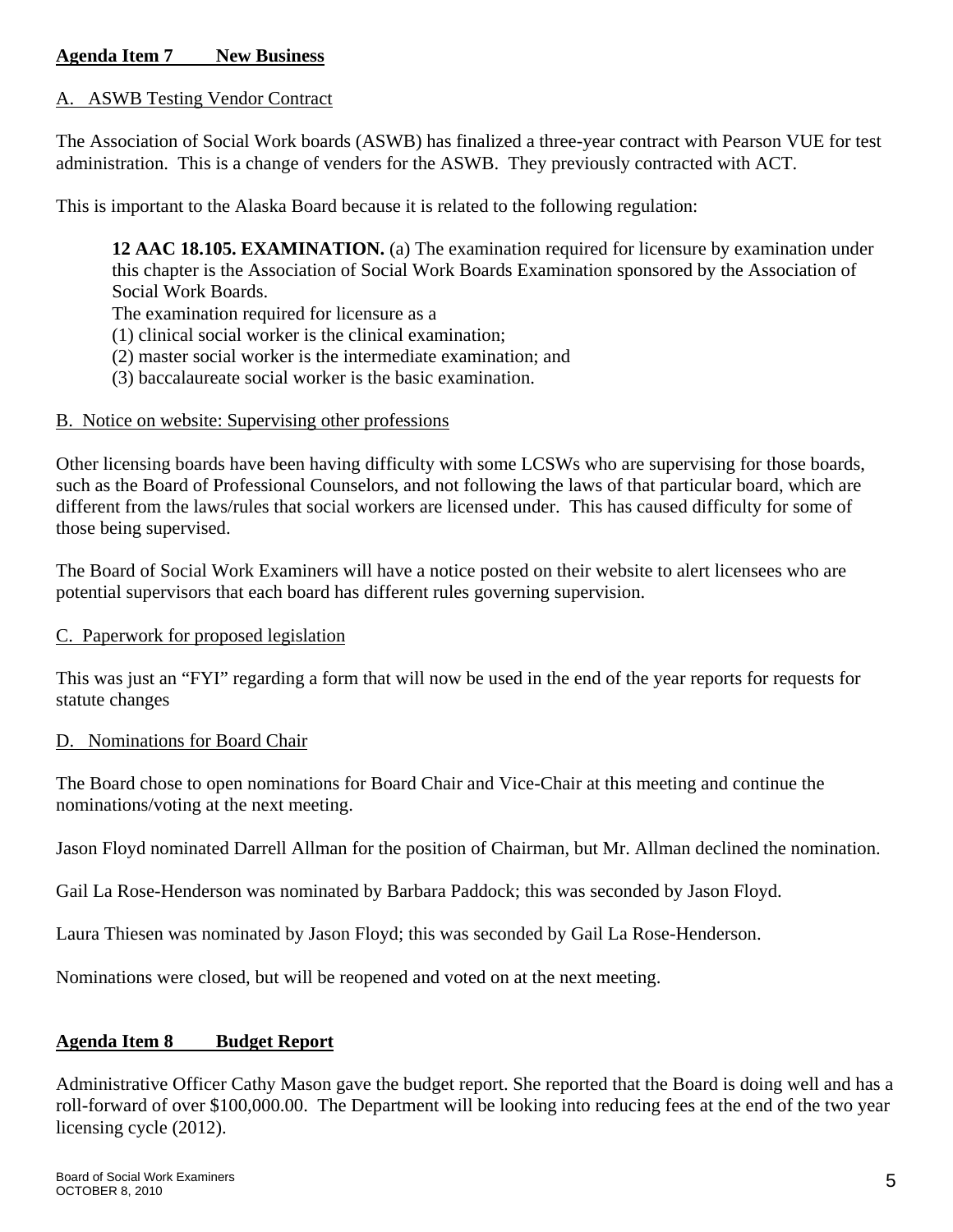## A. ASWB Testing Vendor Contract

The Association of Social Work boards (ASWB) has finalized a three-year contract with Pearson VUE for test administration. This is a change of venders for the ASWB. They previously contracted with ACT.

This is important to the Alaska Board because it is related to the following regulation:

**12 AAC 18.105. EXAMINATION.** (a) The examination required for licensure by examination under this chapter is the Association of Social Work Boards Examination sponsored by the Association of Social Work Boards.

The examination required for licensure as a

- (1) clinical social worker is the clinical examination;
- (2) master social worker is the intermediate examination; and
- (3) baccalaureate social worker is the basic examination.

#### B. Notice on website: Supervising other professions

Other licensing boards have been having difficulty with some LCSWs who are supervising for those boards, such as the Board of Professional Counselors, and not following the laws of that particular board, which are different from the laws/rules that social workers are licensed under. This has caused difficulty for some of those being supervised.

The Board of Social Work Examiners will have a notice posted on their website to alert licensees who are potential supervisors that each board has different rules governing supervision.

## C. Paperwork for proposed legislation

This was just an "FYI" regarding a form that will now be used in the end of the year reports for requests for statute changes

## D. Nominations for Board Chair

The Board chose to open nominations for Board Chair and Vice-Chair at this meeting and continue the nominations/voting at the next meeting.

Jason Floyd nominated Darrell Allman for the position of Chairman, but Mr. Allman declined the nomination.

Gail La Rose-Henderson was nominated by Barbara Paddock; this was seconded by Jason Floyd.

Laura Thiesen was nominated by Jason Floyd; this was seconded by Gail La Rose-Henderson.

Nominations were closed, but will be reopened and voted on at the next meeting.

## **Agenda Item 8 Budget Report**

Administrative Officer Cathy Mason gave the budget report. She reported that the Board is doing well and has a roll-forward of over \$100,000.00. The Department will be looking into reducing fees at the end of the two year licensing cycle (2012).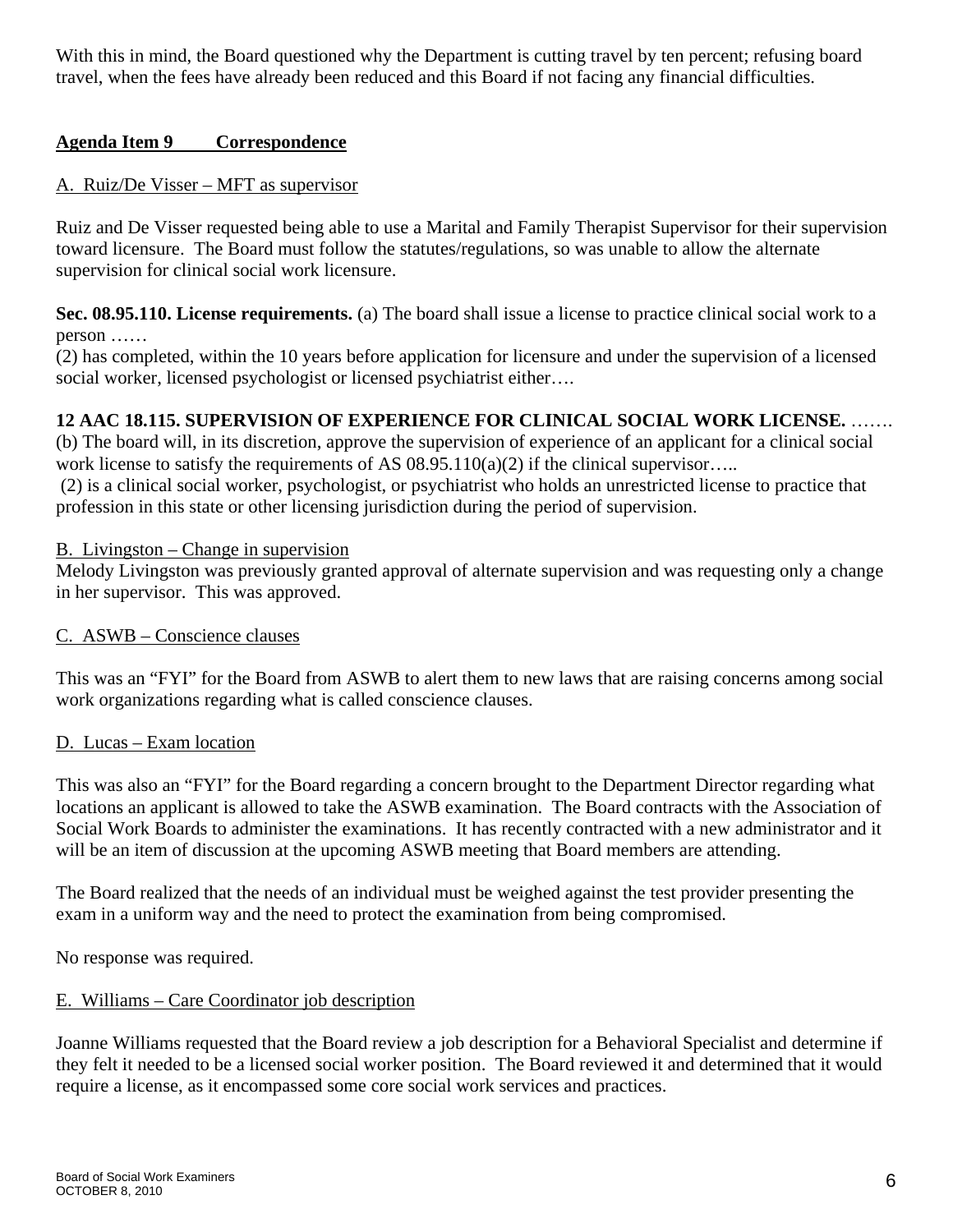With this in mind, the Board questioned why the Department is cutting travel by ten percent; refusing board travel, when the fees have already been reduced and this Board if not facing any financial difficulties.

## **Agenda Item 9 Correspondence**

## A. Ruiz/De Visser – MFT as supervisor

Ruiz and De Visser requested being able to use a Marital and Family Therapist Supervisor for their supervision toward licensure. The Board must follow the statutes/regulations, so was unable to allow the alternate supervision for clinical social work licensure.

**Sec. 08.95.110. License requirements.** (a) The board shall issue a license to practice clinical social work to a person ……

(2) has completed, within the 10 years before application for licensure and under the supervision of a licensed social worker, licensed psychologist or licensed psychiatrist either....

# **12 AAC 18.115. SUPERVISION OF EXPERIENCE FOR CLINICAL SOCIAL WORK LICENSE.** …….

(b) The board will, in its discretion, approve the supervision of experience of an applicant for a clinical social work license to satisfy the requirements of AS  $08.95.110(a)(2)$  if the clinical supervisor....

 (2) is a clinical social worker, psychologist, or psychiatrist who holds an unrestricted license to practice that profession in this state or other licensing jurisdiction during the period of supervision.

## B. Livingston – Change in supervision

Melody Livingston was previously granted approval of alternate supervision and was requesting only a change in her supervisor. This was approved.

## C. ASWB – Conscience clauses

This was an "FYI" for the Board from ASWB to alert them to new laws that are raising concerns among social work organizations regarding what is called conscience clauses.

## D. Lucas – Exam location

This was also an "FYI" for the Board regarding a concern brought to the Department Director regarding what locations an applicant is allowed to take the ASWB examination. The Board contracts with the Association of Social Work Boards to administer the examinations. It has recently contracted with a new administrator and it will be an item of discussion at the upcoming ASWB meeting that Board members are attending.

The Board realized that the needs of an individual must be weighed against the test provider presenting the exam in a uniform way and the need to protect the examination from being compromised.

No response was required.

## E. Williams – Care Coordinator job description

Joanne Williams requested that the Board review a job description for a Behavioral Specialist and determine if they felt it needed to be a licensed social worker position. The Board reviewed it and determined that it would require a license, as it encompassed some core social work services and practices.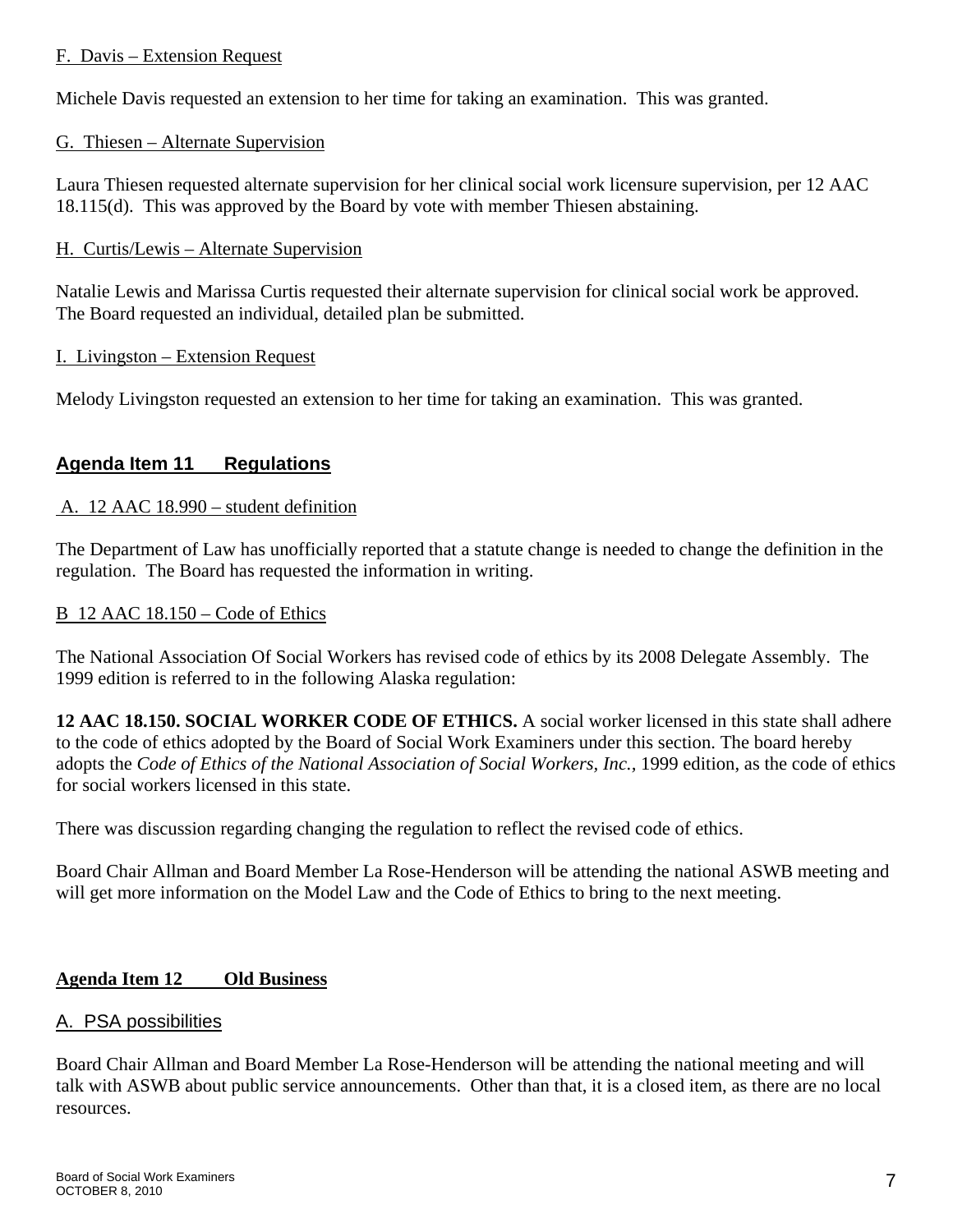## F. Davis – Extension Request

Michele Davis requested an extension to her time for taking an examination. This was granted.

## G. Thiesen – Alternate Supervision

Laura Thiesen requested alternate supervision for her clinical social work licensure supervision, per 12 AAC 18.115(d). This was approved by the Board by vote with member Thiesen abstaining.

## H. Curtis/Lewis – Alternate Supervision

Natalie Lewis and Marissa Curtis requested their alternate supervision for clinical social work be approved. The Board requested an individual, detailed plan be submitted.

# I. Livingston – Extension Request

Melody Livingston requested an extension to her time for taking an examination. This was granted.

# **Agenda Item 11 Regulations**

# A. 12 AAC 18.990 – student definition

The Department of Law has unofficially reported that a statute change is needed to change the definition in the regulation. The Board has requested the information in writing.

## B 12 AAC 18.150 – Code of Ethics

The National Association Of Social Workers has revised code of ethics by its 2008 Delegate Assembly. The 1999 edition is referred to in the following Alaska regulation:

**12 AAC 18.150. SOCIAL WORKER CODE OF ETHICS.** A social worker licensed in this state shall adhere to the code of ethics adopted by the Board of Social Work Examiners under this section. The board hereby adopts the *Code of Ethics of the National Association of Social Workers, Inc.,* 1999 edition, as the code of ethics for social workers licensed in this state.

There was discussion regarding changing the regulation to reflect the revised code of ethics.

Board Chair Allman and Board Member La Rose-Henderson will be attending the national ASWB meeting and will get more information on the Model Law and the Code of Ethics to bring to the next meeting.

# **Agenda Item 12 Old Business**

## A. PSA possibilities

Board Chair Allman and Board Member La Rose-Henderson will be attending the national meeting and will talk with ASWB about public service announcements. Other than that, it is a closed item, as there are no local resources.